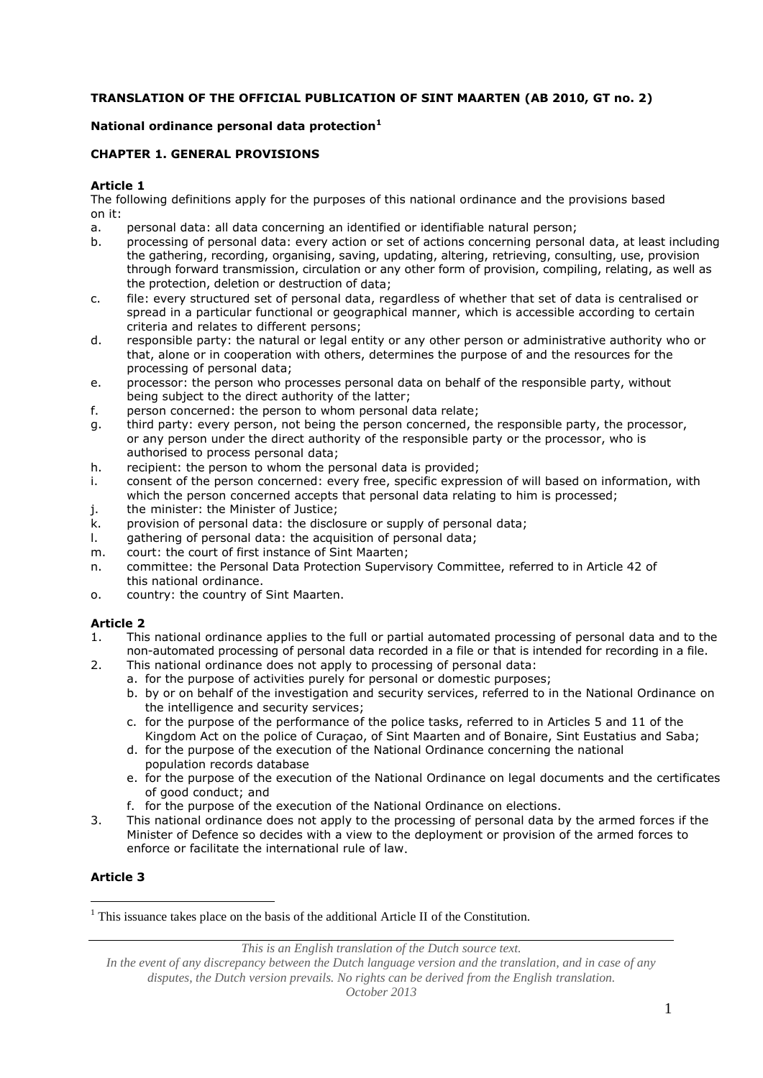## **TRANSLATION OF THE OFFICIAL PUBLICATION OF SINT MAARTEN (AB 2010, GT no. 2)**

### **National ordinance personal data protection<sup>1</sup>**

### **CHAPTER 1. GENERAL PROVISIONS**

### **Article 1**

The following definitions apply for the purposes of this national ordinance and the provisions based on it:

- a. personal data: all data concerning an identified or identifiable natural person;
- b. processing of personal data: every action or set of actions concerning personal data, at least including the gathering, recording, organising, saving, updating, altering, retrieving, consulting, use, provision through forward transmission, circulation or any other form of provision, compiling, relating, as well as the protection, deletion or destruction of data;
- c. file: every structured set of personal data, regardless of whether that set of data is centralised or spread in a particular functional or geographical manner, which is accessible according to certain criteria and relates to different persons;
- d. responsible party: the natural or legal entity or any other person or administrative authority who or that, alone or in cooperation with others, determines the purpose of and the resources for the processing of personal data;
- e. processor: the person who processes personal data on behalf of the responsible party, without being subject to the direct authority of the latter;
- f. person concerned: the person to whom personal data relate;
- g. third party: every person, not being the person concerned, the responsible party, the processor, or any person under the direct authority of the responsible party or the processor, who is authorised to process personal data;
- h. recipient: the person to whom the personal data is provided;
- i. consent of the person concerned: every free, specific expression of will based on information, with which the person concerned accepts that personal data relating to him is processed;
- j. the minister: the Minister of Justice;
- k. provision of personal data: the disclosure or supply of personal data;
- l. gathering of personal data: the acquisition of personal data;
- m. court: the court of first instance of Sint Maarten;
- n. committee: the Personal Data Protection Supervisory Committee, referred to in Article 42 of this national ordinance.
- o. country: the country of Sint Maarten.

## **Article 2**

- 1. This national ordinance applies to the full or partial automated processing of personal data and to the non-automated processing of personal data recorded in a file or that is intended for recording in a file.
- 2. This national ordinance does not apply to processing of personal data:
	- a. for the purpose of activities purely for personal or domestic purposes;
	- b. by or on behalf of the investigation and security services, referred to in the National Ordinance on the intelligence and security services;
	- c. for the purpose of the performance of the police tasks, referred to in Articles 5 and 11 of the Kingdom Act on the police of Curaçao, of Sint Maarten and of Bonaire, Sint Eustatius and Saba;
	- d. for the purpose of the execution of the National Ordinance concerning the national population records database
	- e. for the purpose of the execution of the National Ordinance on legal documents and the certificates of good conduct; and
	- f. for the purpose of the execution of the National Ordinance on elections.
- 3. This national ordinance does not apply to the processing of personal data by the armed forces if the Minister of Defence so decides with a view to the deployment or provision of the armed forces to enforce or facilitate the international rule of law.

## **Article 3**

1

*This is an English translation of the Dutch source text.*

*In the event of any discrepancy between the Dutch language version and the translation, and in case of any disputes, the Dutch version prevails. No rights can be derived from the English translation. October 2013*

<sup>&</sup>lt;sup>1</sup> This issuance takes place on the basis of the additional Article II of the Constitution.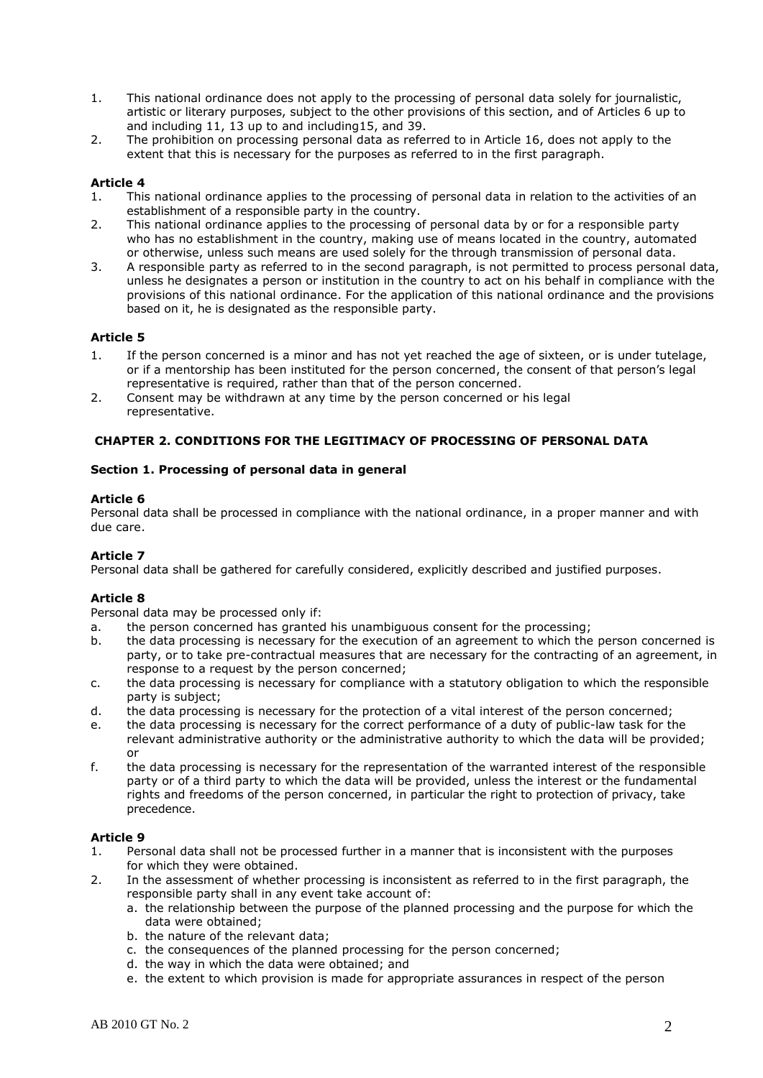- 1. This national ordinance does not apply to the processing of personal data solely for journalistic, artistic or literary purposes, subject to the other provisions of this section, and of Articles 6 up to and including 11, 13 up to and including15, and 39.
- 2. The prohibition on processing personal data as referred to in Article 16, does not apply to the extent that this is necessary for the purposes as referred to in the first paragraph.

- 1. This national ordinance applies to the processing of personal data in relation to the activities of an establishment of a responsible party in the country.
- 2. This national ordinance applies to the processing of personal data by or for a responsible party who has no establishment in the country, making use of means located in the country, automated or otherwise, unless such means are used solely for the through transmission of personal data.
- 3. A responsible party as referred to in the second paragraph, is not permitted to process personal data, unless he designates a person or institution in the country to act on his behalf in compliance with the provisions of this national ordinance. For the application of this national ordinance and the provisions based on it, he is designated as the responsible party.

### **Article 5**

- 1. If the person concerned is a minor and has not yet reached the age of sixteen, or is under tutelage, or if a mentorship has been instituted for the person concerned, the consent of that person's legal representative is required, rather than that of the person concerned.
- 2. Consent may be withdrawn at any time by the person concerned or his legal representative.

### **CHAPTER 2. CONDITIONS FOR THE LEGITIMACY OF PROCESSING OF PERSONAL DATA**

### **Section 1. Processing of personal data in general**

### **Article 6**

Personal data shall be processed in compliance with the national ordinance, in a proper manner and with due care.

## **Article 7**

Personal data shall be gathered for carefully considered, explicitly described and justified purposes.

## **Article 8**

Personal data may be processed only if:

- a. the person concerned has granted his unambiguous consent for the processing;
- b. the data processing is necessary for the execution of an agreement to which the person concerned is party, or to take pre-contractual measures that are necessary for the contracting of an agreement, in response to a request by the person concerned;
- c. the data processing is necessary for compliance with a statutory obligation to which the responsible party is subject;
- d. the data processing is necessary for the protection of a vital interest of the person concerned;
- e. the data processing is necessary for the correct performance of a duty of public-law task for the relevant administrative authority or the administrative authority to which the data will be provided; or
- f. the data processing is necessary for the representation of the warranted interest of the responsible party or of a third party to which the data will be provided, unless the interest or the fundamental rights and freedoms of the person concerned, in particular the right to protection of privacy, take precedence.

- 1. Personal data shall not be processed further in a manner that is inconsistent with the purposes for which they were obtained.
- 2. In the assessment of whether processing is inconsistent as referred to in the first paragraph, the responsible party shall in any event take account of:
	- a. the relationship between the purpose of the planned processing and the purpose for which the data were obtained;
	- b. the nature of the relevant data;
	- c. the consequences of the planned processing for the person concerned;
	- d. the way in which the data were obtained; and
	- e. the extent to which provision is made for appropriate assurances in respect of the person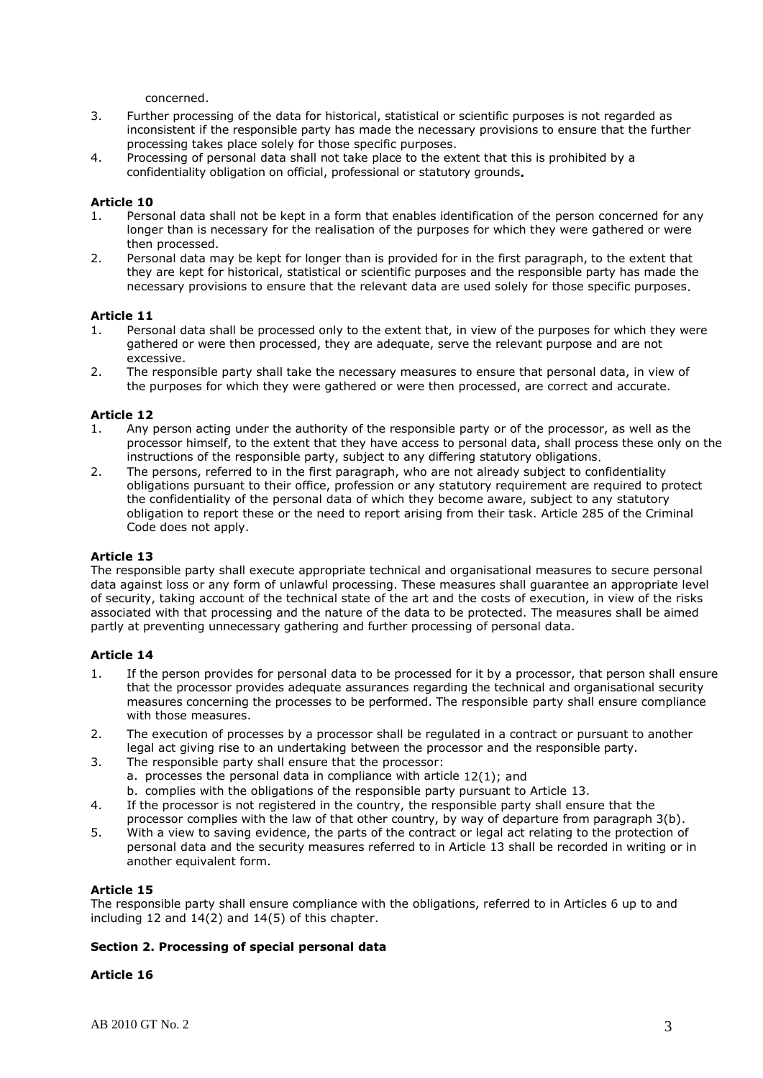concerned.

- 3. Further processing of the data for historical, statistical or scientific purposes is not regarded as inconsistent if the responsible party has made the necessary provisions to ensure that the further processing takes place solely for those specific purposes.
- 4. Processing of personal data shall not take place to the extent that this is prohibited by a confidentiality obligation on official, professional or statutory grounds**.**

### **Article 10**

- 1. Personal data shall not be kept in a form that enables identification of the person concerned for any longer than is necessary for the realisation of the purposes for which they were gathered or were then processed.
- 2. Personal data may be kept for longer than is provided for in the first paragraph, to the extent that they are kept for historical, statistical or scientific purposes and the responsible party has made the necessary provisions to ensure that the relevant data are used solely for those specific purposes.

### **Article 11**

- 1. Personal data shall be processed only to the extent that, in view of the purposes for which they were gathered or were then processed, they are adequate, serve the relevant purpose and are not excessive.
- 2. The responsible party shall take the necessary measures to ensure that personal data, in view of the purposes for which they were gathered or were then processed, are correct and accurate.

### **Article 12**

- 1. Any person acting under the authority of the responsible party or of the processor, as well as the processor himself, to the extent that they have access to personal data, shall process these only on the instructions of the responsible party, subject to any differing statutory obligations.
- 2. The persons, referred to in the first paragraph, who are not already subject to confidentiality obligations pursuant to their office, profession or any statutory requirement are required to protect the confidentiality of the personal data of which they become aware, subject to any statutory obligation to report these or the need to report arising from their task. Article 285 of the Criminal Code does not apply.

## **Article 13**

The responsible party shall execute appropriate technical and organisational measures to secure personal data against loss or any form of unlawful processing. These measures shall guarantee an appropriate level of security, taking account of the technical state of the art and the costs of execution, in view of the risks associated with that processing and the nature of the data to be protected. The measures shall be aimed partly at preventing unnecessary gathering and further processing of personal data.

### **Article 14**

- 1. If the person provides for personal data to be processed for it by a processor, that person shall ensure that the processor provides adequate assurances regarding the technical and organisational security measures concerning the processes to be performed. The responsible party shall ensure compliance with those measures.
- 2. The execution of processes by a processor shall be regulated in a contract or pursuant to another legal act giving rise to an undertaking between the processor and the responsible party.
- 3. The responsible party shall ensure that the processor: a. processes the personal data in compliance with article 12(1); and b. complies with the obligations of the responsible party pursuant to Article 13.
- 4. If the processor is not registered in the country, the responsible party shall ensure that the processor complies with the law of that other country, by way of departure from paragraph 3(b).
- 5. With a view to saving evidence, the parts of the contract or legal act relating to the protection of personal data and the security measures referred to in Article 13 shall be recorded in writing or in another equivalent form.

### **Article 15**

The responsible party shall ensure compliance with the obligations, referred to in Articles 6 up to and including 12 and 14(2) and 14(5) of this chapter.

### **Section 2. Processing of special personal data**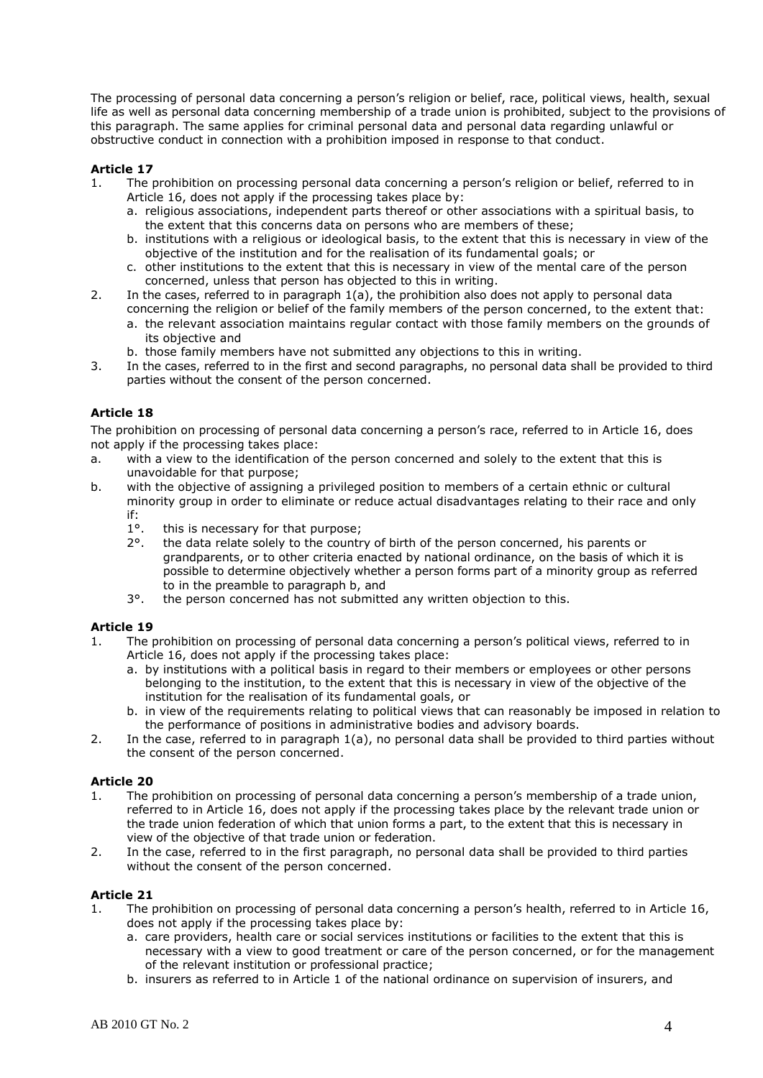The processing of personal data concerning a person's religion or belief, race, political views, health, sexual life as well as personal data concerning membership of a trade union is prohibited, subject to the provisions of this paragraph. The same applies for criminal personal data and personal data regarding unlawful or obstructive conduct in connection with a prohibition imposed in response to that conduct.

# **Article 17**

- 1. The prohibition on processing personal data concerning a person's religion or belief, referred to in Article 16, does not apply if the processing takes place by:
	- a. religious associations, independent parts thereof or other associations with a spiritual basis, to the extent that this concerns data on persons who are members of these;
	- b. institutions with a religious or ideological basis, to the extent that this is necessary in view of the objective of the institution and for the realisation of its fundamental goals; or
	- c. other institutions to the extent that this is necessary in view of the mental care of the person concerned, unless that person has objected to this in writing.
- 2. In the cases, referred to in paragraph 1(a), the prohibition also does not apply to personal data concerning the religion or belief of the family members of the person concerned, to the extent that:
	- a. the relevant association maintains regular contact with those family members on the grounds of its objective and
	- b. those family members have not submitted any objections to this in writing.
- 3. In the cases, referred to in the first and second paragraphs, no personal data shall be provided to third parties without the consent of the person concerned.

## **Article 18**

The prohibition on processing of personal data concerning a person's race, referred to in Article 16, does not apply if the processing takes place:

- a. with a view to the identification of the person concerned and solely to the extent that this is unavoidable for that purpose;
- b. with the objective of assigning a privileged position to members of a certain ethnic or cultural minority group in order to eliminate or reduce actual disadvantages relating to their race and only if:
	- 1°. this is necessary for that purpose;
	- 2°. the data relate solely to the country of birth of the person concerned, his parents or grandparents, or to other criteria enacted by national ordinance, on the basis of which it is possible to determine objectively whether a person forms part of a minority group as referred to in the preamble to paragraph b, and
	- 3°. the person concerned has not submitted any written objection to this.

### **Article 19**

- 1. The prohibition on processing of personal data concerning a person's political views, referred to in Article 16, does not apply if the processing takes place:
	- a. by institutions with a political basis in regard to their members or employees or other persons belonging to the institution, to the extent that this is necessary in view of the objective of the institution for the realisation of its fundamental goals, or
	- b. in view of the requirements relating to political views that can reasonably be imposed in relation to the performance of positions in administrative bodies and advisory boards.
- 2. In the case, referred to in paragraph 1(a), no personal data shall be provided to third parties without the consent of the person concerned.

### **Article 20**

- 1. The prohibition on processing of personal data concerning a person's membership of a trade union, referred to in Article 16, does not apply if the processing takes place by the relevant trade union or the trade union federation of which that union forms a part, to the extent that this is necessary in view of the objective of that trade union or federation.
- 2. In the case, referred to in the first paragraph, no personal data shall be provided to third parties without the consent of the person concerned.

- 1. The prohibition on processing of personal data concerning a person's health, referred to in Article 16, does not apply if the processing takes place by:
	- a. care providers, health care or social services institutions or facilities to the extent that this is necessary with a view to good treatment or care of the person concerned, or for the management of the relevant institution or professional practice;
	- b. insurers as referred to in Article 1 of the national ordinance on supervision of insurers, and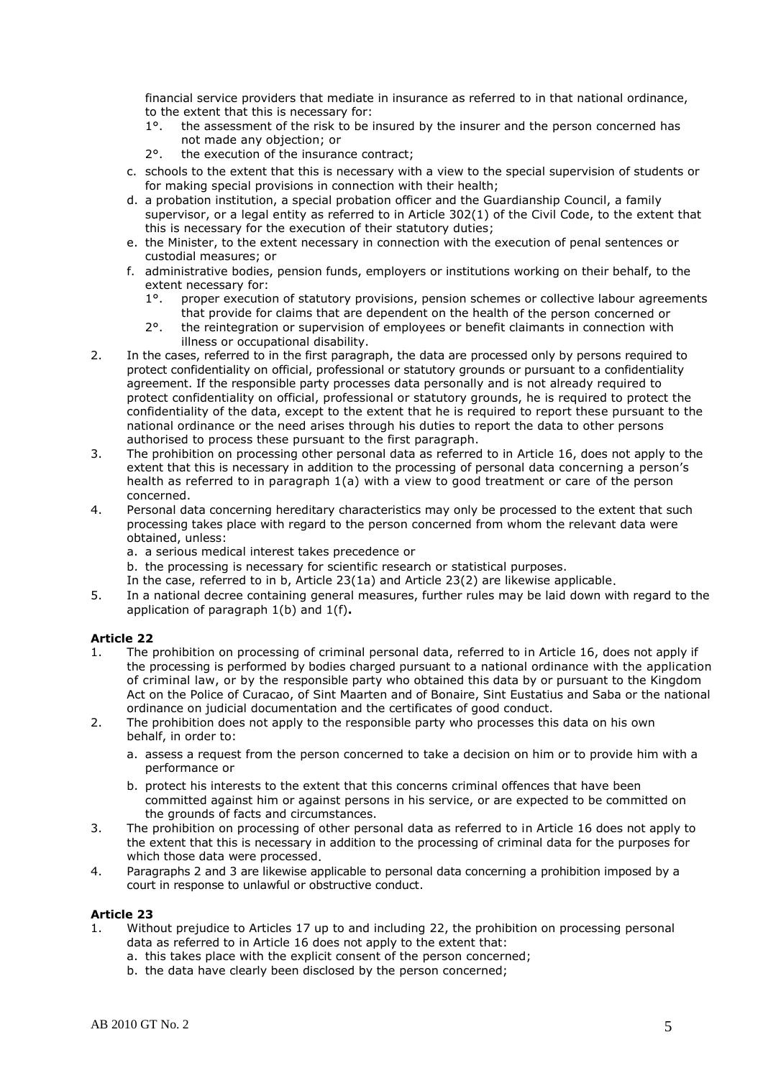financial service providers that mediate in insurance as referred to in that national ordinance, to the extent that this is necessary for:

- 1°. the assessment of the risk to be insured by the insurer and the person concerned has not made any objection; or
- 2°. the execution of the insurance contract;
- c. schools to the extent that this is necessary with a view to the special supervision of students or for making special provisions in connection with their health;
- d. a probation institution, a special probation officer and the Guardianship Council, a family supervisor, or a legal entity as referred to in Article 302(1) of the Civil Code, to the extent that this is necessary for the execution of their statutory duties;
- e. the Minister, to the extent necessary in connection with the execution of penal sentences or custodial measures; or
- f. administrative bodies, pension funds, employers or institutions working on their behalf, to the extent necessary for:
	- 1°. proper execution of statutory provisions, pension schemes or collective labour agreements that provide for claims that are dependent on the health of the person concerned or
	- 2°. the reintegration or supervision of employees or benefit claimants in connection with illness or occupational disability.
- 2. In the cases, referred to in the first paragraph, the data are processed only by persons required to protect confidentiality on official, professional or statutory grounds or pursuant to a confidentiality agreement. If the responsible party processes data personally and is not already required to protect confidentiality on official, professional or statutory grounds, he is required to protect the confidentiality of the data, except to the extent that he is required to report these pursuant to the national ordinance or the need arises through his duties to report the data to other persons authorised to process these pursuant to the first paragraph.
- 3. The prohibition on processing other personal data as referred to in Article 16, does not apply to the extent that this is necessary in addition to the processing of personal data concerning a person's health as referred to in paragraph 1(a) with a view to good treatment or care of the person concerned.
- 4. Personal data concerning hereditary characteristics may only be processed to the extent that such processing takes place with regard to the person concerned from whom the relevant data were obtained, unless:
	- a. a serious medical interest takes precedence or
	- b. the processing is necessary for scientific research or statistical purposes.
	- In the case, referred to in b, Article 23(1a) and Article 23(2) are likewise applicable.
- 5. In a national decree containing general measures, further rules may be laid down with regard to the application of paragraph 1(b) and 1(f)**.**

### **Article 22**

- 1. The prohibition on processing of criminal personal data, referred to in Article 16, does not apply if the processing is performed by bodies charged pursuant to a national ordinance with the application of criminal law, or by the responsible party who obtained this data by or pursuant to the Kingdom Act on the Police of Curacao, of Sint Maarten and of Bonaire, Sint Eustatius and Saba or the national ordinance on judicial documentation and the certificates of good conduct.
- 2. The prohibition does not apply to the responsible party who processes this data on his own behalf, in order to:
	- a. assess a request from the person concerned to take a decision on him or to provide him with a performance or
	- b. protect his interests to the extent that this concerns criminal offences that have been committed against him or against persons in his service, or are expected to be committed on the grounds of facts and circumstances.
- 3. The prohibition on processing of other personal data as referred to in Article 16 does not apply to the extent that this is necessary in addition to the processing of criminal data for the purposes for which those data were processed.
- 4. Paragraphs 2 and 3 are likewise applicable to personal data concerning a prohibition imposed by a court in response to unlawful or obstructive conduct.

- 1. Without prejudice to Articles 17 up to and including 22, the prohibition on processing personal data as referred to in Article 16 does not apply to the extent that:
	- a. this takes place with the explicit consent of the person concerned;
	- b. the data have clearly been disclosed by the person concerned;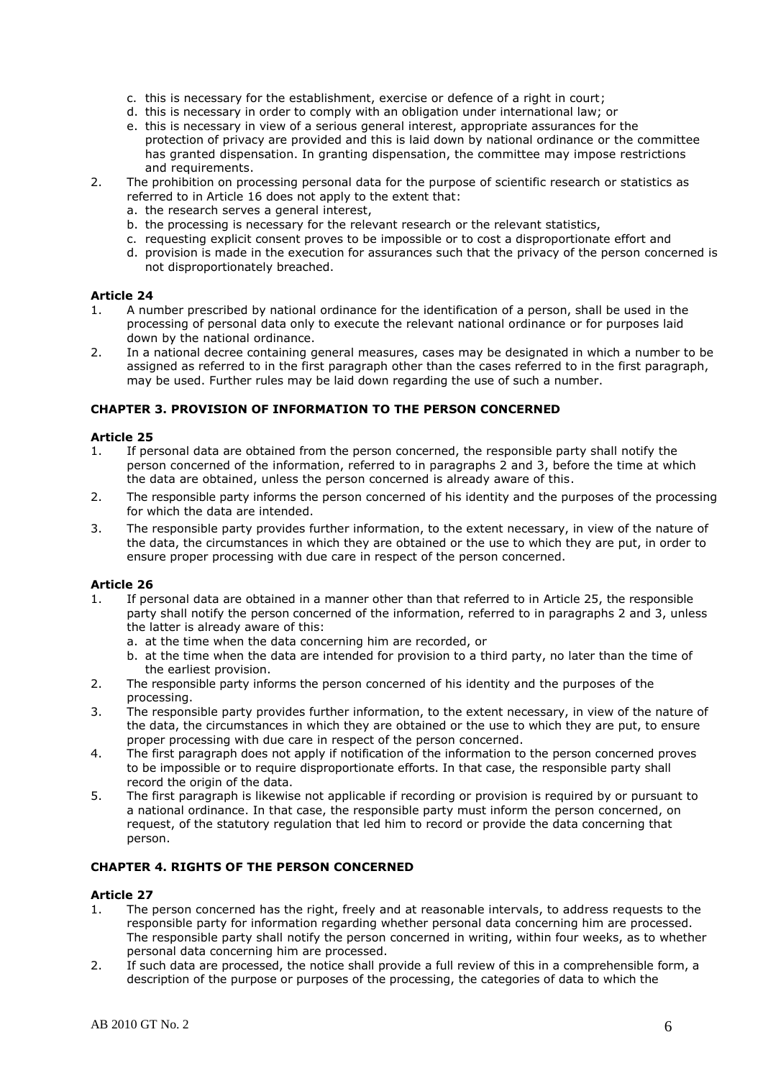- c. this is necessary for the establishment, exercise or defence of a right in court;
- d. this is necessary in order to comply with an obligation under international law; or
- e. this is necessary in view of a serious general interest, appropriate assurances for the protection of privacy are provided and this is laid down by national ordinance or the committee has granted dispensation. In granting dispensation, the committee may impose restrictions and requirements.
- 2. The prohibition on processing personal data for the purpose of scientific research or statistics as referred to in Article 16 does not apply to the extent that:
	- a. the research serves a general interest,
	- b. the processing is necessary for the relevant research or the relevant statistics,
	- c. requesting explicit consent proves to be impossible or to cost a disproportionate effort and
	- d. provision is made in the execution for assurances such that the privacy of the person concerned is not disproportionately breached.

- 1. A number prescribed by national ordinance for the identification of a person, shall be used in the processing of personal data only to execute the relevant national ordinance or for purposes laid down by the national ordinance.
- 2. In a national decree containing general measures, cases may be designated in which a number to be assigned as referred to in the first paragraph other than the cases referred to in the first paragraph, may be used. Further rules may be laid down regarding the use of such a number.

### **CHAPTER 3. PROVISION OF INFORMATION TO THE PERSON CONCERNED**

### **Article 25**

- 1. If personal data are obtained from the person concerned, the responsible party shall notify the person concerned of the information, referred to in paragraphs 2 and 3, before the time at which the data are obtained, unless the person concerned is already aware of this.
- 2. The responsible party informs the person concerned of his identity and the purposes of the processing for which the data are intended.
- 3. The responsible party provides further information, to the extent necessary, in view of the nature of the data, the circumstances in which they are obtained or the use to which they are put, in order to ensure proper processing with due care in respect of the person concerned.

### **Article 26**

- 1. If personal data are obtained in a manner other than that referred to in Article 25, the responsible party shall notify the person concerned of the information, referred to in paragraphs 2 and 3, unless the latter is already aware of this:
	- a. at the time when the data concerning him are recorded, or
	- b. at the time when the data are intended for provision to a third party, no later than the time of the earliest provision.
- 2. The responsible party informs the person concerned of his identity and the purposes of the processing.
- 3. The responsible party provides further information, to the extent necessary, in view of the nature of the data, the circumstances in which they are obtained or the use to which they are put, to ensure proper processing with due care in respect of the person concerned.
- 4. The first paragraph does not apply if notification of the information to the person concerned proves to be impossible or to require disproportionate efforts. In that case, the responsible party shall record the origin of the data.
- 5. The first paragraph is likewise not applicable if recording or provision is required by or pursuant to a national ordinance. In that case, the responsible party must inform the person concerned, on request, of the statutory regulation that led him to record or provide the data concerning that person.

## **CHAPTER 4. RIGHTS OF THE PERSON CONCERNED**

- 1. The person concerned has the right, freely and at reasonable intervals, to address requests to the responsible party for information regarding whether personal data concerning him are processed. The responsible party shall notify the person concerned in writing, within four weeks, as to whether personal data concerning him are processed.
- 2. If such data are processed, the notice shall provide a full review of this in a comprehensible form, a description of the purpose or purposes of the processing, the categories of data to which the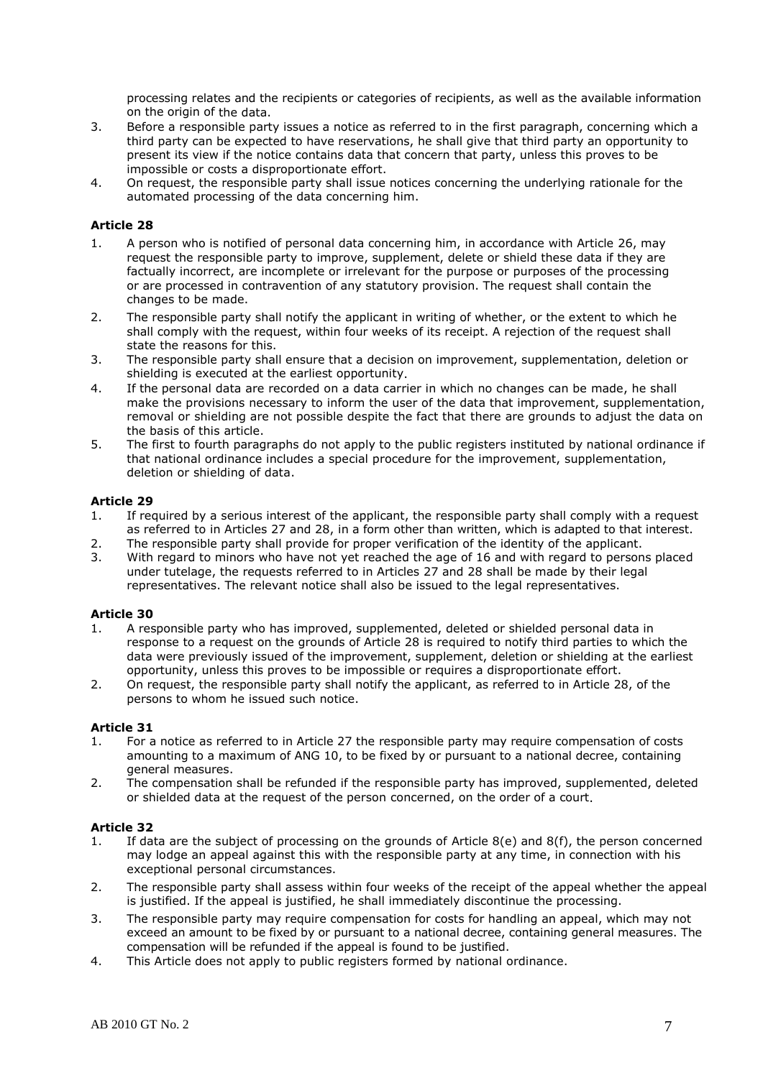processing relates and the recipients or categories of recipients, as well as the available information on the origin of the data.

- 3. Before a responsible party issues a notice as referred to in the first paragraph, concerning which a third party can be expected to have reservations, he shall give that third party an opportunity to present its view if the notice contains data that concern that party, unless this proves to be impossible or costs a disproportionate effort.
- 4. On request, the responsible party shall issue notices concerning the underlying rationale for the automated processing of the data concerning him.

### **Article 28**

- 1. A person who is notified of personal data concerning him, in accordance with Article 26, may request the responsible party to improve, supplement, delete or shield these data if they are factually incorrect, are incomplete or irrelevant for the purpose or purposes of the processing or are processed in contravention of any statutory provision. The request shall contain the changes to be made.
- 2. The responsible party shall notify the applicant in writing of whether, or the extent to which he shall comply with the request, within four weeks of its receipt. A rejection of the request shall state the reasons for this.
- 3. The responsible party shall ensure that a decision on improvement, supplementation, deletion or shielding is executed at the earliest opportunity.
- 4. If the personal data are recorded on a data carrier in which no changes can be made, he shall make the provisions necessary to inform the user of the data that improvement, supplementation, removal or shielding are not possible despite the fact that there are grounds to adjust the data on the basis of this article.
- 5. The first to fourth paragraphs do not apply to the public registers instituted by national ordinance if that national ordinance includes a special procedure for the improvement, supplementation, deletion or shielding of data.

### **Article 29**

- 1. If required by a serious interest of the applicant, the responsible party shall comply with a request as referred to in Articles 27 and 28, in a form other than written, which is adapted to that interest.
- 2. The responsible party shall provide for proper verification of the identity of the applicant.
- 3. With regard to minors who have not yet reached the age of 16 and with regard to persons placed under tutelage, the requests referred to in Articles 27 and 28 shall be made by their legal representatives. The relevant notice shall also be issued to the legal representatives.

### **Article 30**

- 1. A responsible party who has improved, supplemented, deleted or shielded personal data in response to a request on the grounds of Article 28 is required to notify third parties to which the data were previously issued of the improvement, supplement, deletion or shielding at the earliest opportunity, unless this proves to be impossible or requires a disproportionate effort.
- 2. On request, the responsible party shall notify the applicant, as referred to in Article 28, of the persons to whom he issued such notice.

### **Article 31**

- 1. For a notice as referred to in Article 27 the responsible party may require compensation of costs amounting to a maximum of ANG 10, to be fixed by or pursuant to a national decree, containing general measures.
- 2. The compensation shall be refunded if the responsible party has improved, supplemented, deleted or shielded data at the request of the person concerned, on the order of a court.

- 1. If data are the subject of processing on the grounds of Article 8(e) and 8(f), the person concerned may lodge an appeal against this with the responsible party at any time, in connection with his exceptional personal circumstances.
- 2. The responsible party shall assess within four weeks of the receipt of the appeal whether the appeal is justified. If the appeal is justified, he shall immediately discontinue the processing.
- 3. The responsible party may require compensation for costs for handling an appeal, which may not exceed an amount to be fixed by or pursuant to a national decree, containing general measures. The compensation will be refunded if the appeal is found to be justified.
- 4. This Article does not apply to public registers formed by national ordinance.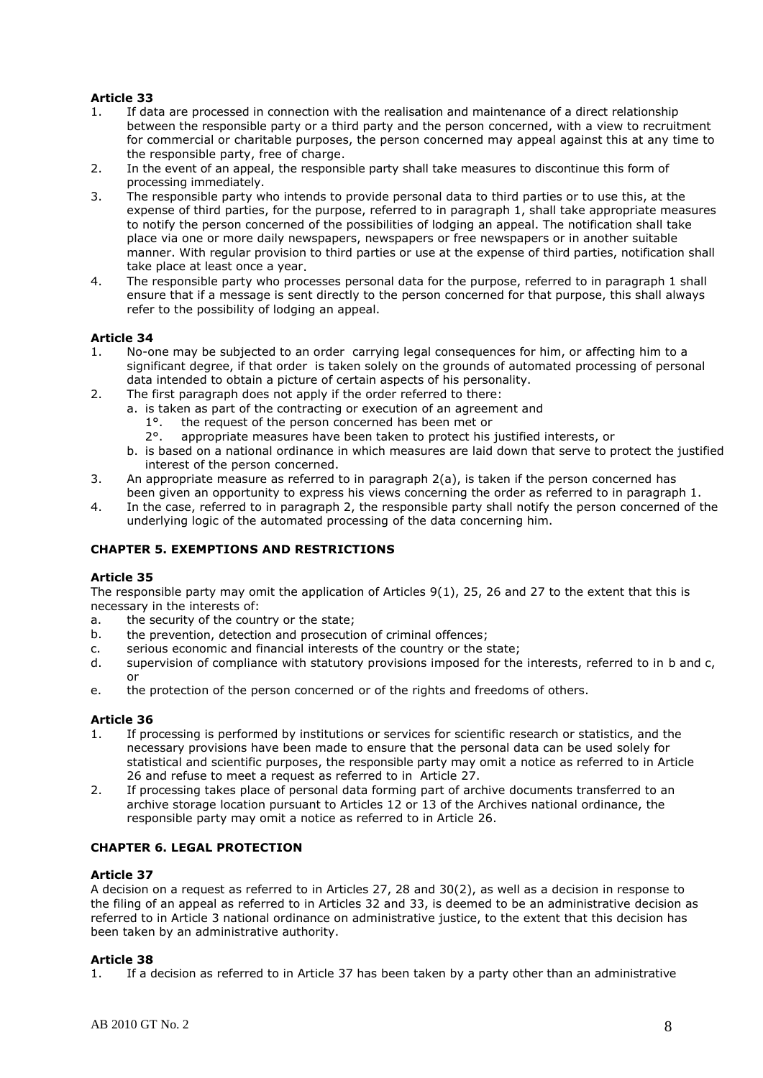- 1. If data are processed in connection with the realisation and maintenance of a direct relationship between the responsible party or a third party and the person concerned, with a view to recruitment for commercial or charitable purposes, the person concerned may appeal against this at any time to the responsible party, free of charge.
- 2. In the event of an appeal, the responsible party shall take measures to discontinue this form of processing immediately.
- 3. The responsible party who intends to provide personal data to third parties or to use this, at the expense of third parties, for the purpose, referred to in paragraph 1, shall take appropriate measures to notify the person concerned of the possibilities of lodging an appeal. The notification shall take place via one or more daily newspapers, newspapers or free newspapers or in another suitable manner. With regular provision to third parties or use at the expense of third parties, notification shall take place at least once a year.
- 4. The responsible party who processes personal data for the purpose, referred to in paragraph 1 shall ensure that if a message is sent directly to the person concerned for that purpose, this shall always refer to the possibility of lodging an appeal.

### **Article 34**

- 1. No-one may be subjected to an order carrying legal consequences for him, or affecting him to a significant degree, if that order is taken solely on the grounds of automated processing of personal data intended to obtain a picture of certain aspects of his personality.
- 2. The first paragraph does not apply if the order referred to there:
	- a. is taken as part of the contracting or execution of an agreement and
		-
		- 1°. the request of the person concerned has been met or 2°. appropriate measures have been taken to protect his appropriate measures have been taken to protect his justified interests, or
	- b. is based on a national ordinance in which measures are laid down that serve to protect the justified interest of the person concerned.
- 3. An appropriate measure as referred to in paragraph 2(a), is taken if the person concerned has been given an opportunity to express his views concerning the order as referred to in paragraph 1.
- 4. In the case, referred to in paragraph 2, the responsible party shall notify the person concerned of the underlying logic of the automated processing of the data concerning him.

## **CHAPTER 5. EXEMPTIONS AND RESTRICTIONS**

### **Article 35**

The responsible party may omit the application of Articles 9(1), 25, 26 and 27 to the extent that this is necessary in the interests of:

- a. the security of the country or the state;
- b. the prevention, detection and prosecution of criminal offences;
- c. serious economic and financial interests of the country or the state;
- d. supervision of compliance with statutory provisions imposed for the interests, referred to in b and c, or
- e. the protection of the person concerned or of the rights and freedoms of others.

### **Article 36**

- 1. If processing is performed by institutions or services for scientific research or statistics, and the necessary provisions have been made to ensure that the personal data can be used solely for statistical and scientific purposes, the responsible party may omit a notice as referred to in Article 26 and refuse to meet a request as referred to in Article 27.
- 2. If processing takes place of personal data forming part of archive documents transferred to an archive storage location pursuant to Articles 12 or 13 of the Archives national ordinance, the responsible party may omit a notice as referred to in Article 26.

## **CHAPTER 6. LEGAL PROTECTION**

### **Article 37**

A decision on a request as referred to in Articles 27, 28 and 30(2), as well as a decision in response to the filing of an appeal as referred to in Articles 32 and 33, is deemed to be an administrative decision as referred to in Article 3 national ordinance on administrative justice, to the extent that this decision has been taken by an administrative authority.

### **Article 38**

1. If a decision as referred to in Article 37 has been taken by a party other than an administrative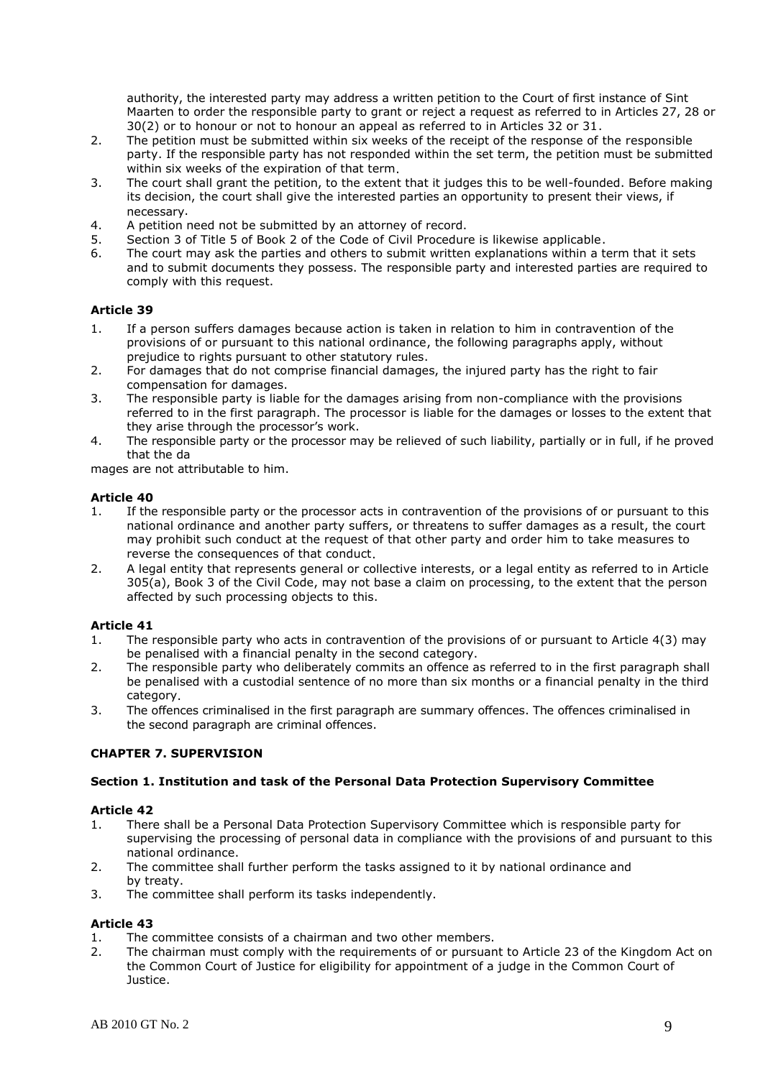authority, the interested party may address a written petition to the Court of first instance of Sint Maarten to order the responsible party to grant or reject a request as referred to in Articles 27, 28 or 30(2) or to honour or not to honour an appeal as referred to in Articles 32 or 31.

- 2. The petition must be submitted within six weeks of the receipt of the response of the responsible party. If the responsible party has not responded within the set term, the petition must be submitted within six weeks of the expiration of that term.
- 3. The court shall grant the petition, to the extent that it judges this to be well-founded. Before making its decision, the court shall give the interested parties an opportunity to present their views, if necessary.
- 4. A petition need not be submitted by an attorney of record.
- 5. Section 3 of Title 5 of Book 2 of the Code of Civil Procedure is likewise applicable.
- 6. The court may ask the parties and others to submit written explanations within a term that it sets and to submit documents they possess. The responsible party and interested parties are required to comply with this request.

### **Article 39**

- 1. If a person suffers damages because action is taken in relation to him in contravention of the provisions of or pursuant to this national ordinance, the following paragraphs apply, without prejudice to rights pursuant to other statutory rules.
- 2. For damages that do not comprise financial damages, the injured party has the right to fair compensation for damages.
- 3. The responsible party is liable for the damages arising from non-compliance with the provisions referred to in the first paragraph. The processor is liable for the damages or losses to the extent that they arise through the processor's work.
- 4. The responsible party or the processor may be relieved of such liability, partially or in full, if he proved that the da

mages are not attributable to him.

### **Article 40**

- 1. If the responsible party or the processor acts in contravention of the provisions of or pursuant to this national ordinance and another party suffers, or threatens to suffer damages as a result, the court may prohibit such conduct at the request of that other party and order him to take measures to reverse the consequences of that conduct.
- 2. A legal entity that represents general or collective interests, or a legal entity as referred to in Article 305(a), Book 3 of the Civil Code, may not base a claim on processing, to the extent that the person affected by such processing objects to this.

## **Article 41**

- 1. The responsible party who acts in contravention of the provisions of or pursuant to Article 4(3) may be penalised with a financial penalty in the second category.
- 2. The responsible party who deliberately commits an offence as referred to in the first paragraph shall be penalised with a custodial sentence of no more than six months or a financial penalty in the third category.
- 3. The offences criminalised in the first paragraph are summary offences. The offences criminalised in the second paragraph are criminal offences.

## **CHAPTER 7. SUPERVISION**

## **Section 1. Institution and task of the Personal Data Protection Supervisory Committee**

### **Article 42**

- 1. There shall be a Personal Data Protection Supervisory Committee which is responsible party for supervising the processing of personal data in compliance with the provisions of and pursuant to this national ordinance.
- 2. The committee shall further perform the tasks assigned to it by national ordinance and by treaty.
- 3. The committee shall perform its tasks independently.

- 1. The committee consists of a chairman and two other members.
- 2. The chairman must comply with the requirements of or pursuant to Article 23 of the Kingdom Act on the Common Court of Justice for eligibility for appointment of a judge in the Common Court of Justice.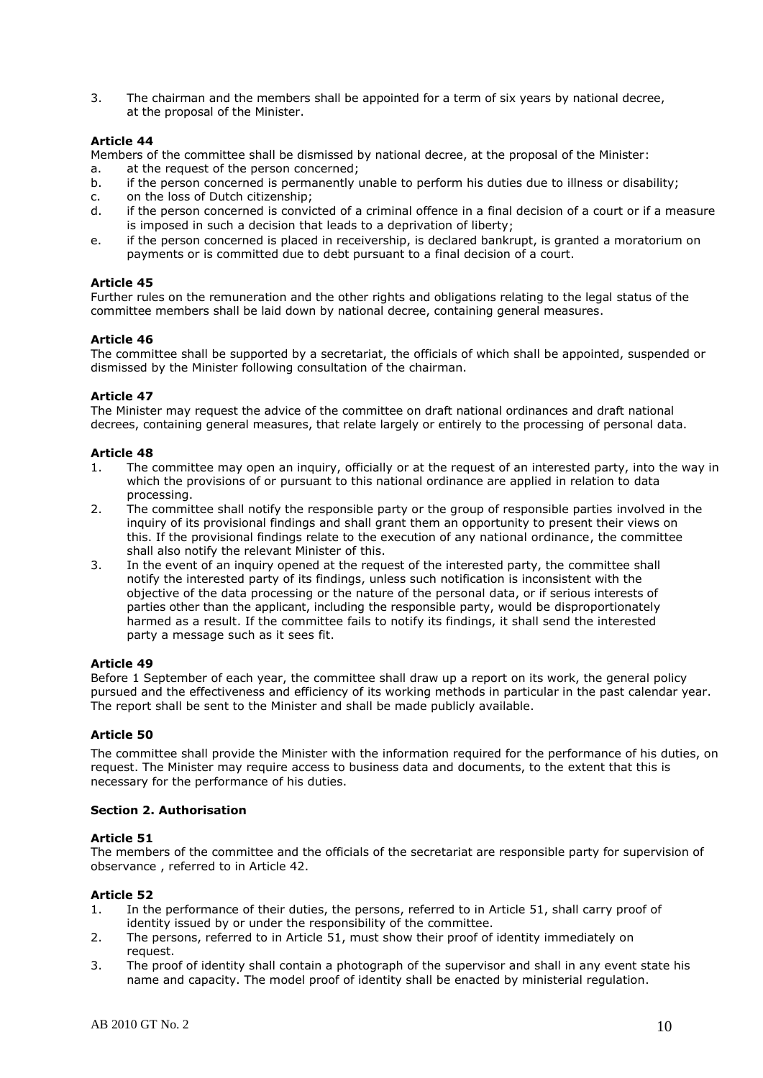3. The chairman and the members shall be appointed for a term of six years by national decree, at the proposal of the Minister.

### **Article 44**

Members of the committee shall be dismissed by national decree, at the proposal of the Minister:

- a. at the request of the person concerned;
- b. if the person concerned is permanently unable to perform his duties due to illness or disability;
- c. on the loss of Dutch citizenship;
- d. if the person concerned is convicted of a criminal offence in a final decision of a court or if a measure is imposed in such a decision that leads to a deprivation of liberty;
- e. if the person concerned is placed in receivership, is declared bankrupt, is granted a moratorium on payments or is committed due to debt pursuant to a final decision of a court.

## **Article 45**

Further rules on the remuneration and the other rights and obligations relating to the legal status of the committee members shall be laid down by national decree, containing general measures.

### **Article 46**

The committee shall be supported by a secretariat, the officials of which shall be appointed, suspended or dismissed by the Minister following consultation of the chairman.

## **Article 47**

The Minister may request the advice of the committee on draft national ordinances and draft national decrees, containing general measures, that relate largely or entirely to the processing of personal data.

### **Article 48**

- 1. The committee may open an inquiry, officially or at the request of an interested party, into the way in which the provisions of or pursuant to this national ordinance are applied in relation to data processing.
- 2. The committee shall notify the responsible party or the group of responsible parties involved in the inquiry of its provisional findings and shall grant them an opportunity to present their views on this. If the provisional findings relate to the execution of any national ordinance, the committee shall also notify the relevant Minister of this.
- 3. In the event of an inquiry opened at the request of the interested party, the committee shall notify the interested party of its findings, unless such notification is inconsistent with the objective of the data processing or the nature of the personal data, or if serious interests of parties other than the applicant, including the responsible party, would be disproportionately harmed as a result. If the committee fails to notify its findings, it shall send the interested party a message such as it sees fit.

### **Article 49**

Before 1 September of each year, the committee shall draw up a report on its work, the general policy pursued and the effectiveness and efficiency of its working methods in particular in the past calendar year. The report shall be sent to the Minister and shall be made publicly available.

## **Article 50**

The committee shall provide the Minister with the information required for the performance of his duties, on request. The Minister may require access to business data and documents, to the extent that this is necessary for the performance of his duties.

### **Section 2. Authorisation**

### **Article 51**

The members of the committee and the officials of the secretariat are responsible party for supervision of observance , referred to in Article 42.

- 1. In the performance of their duties, the persons, referred to in Article 51, shall carry proof of identity issued by or under the responsibility of the committee.
- 2. The persons, referred to in Article 51, must show their proof of identity immediately on request.
- 3. The proof of identity shall contain a photograph of the supervisor and shall in any event state his name and capacity. The model proof of identity shall be enacted by ministerial regulation.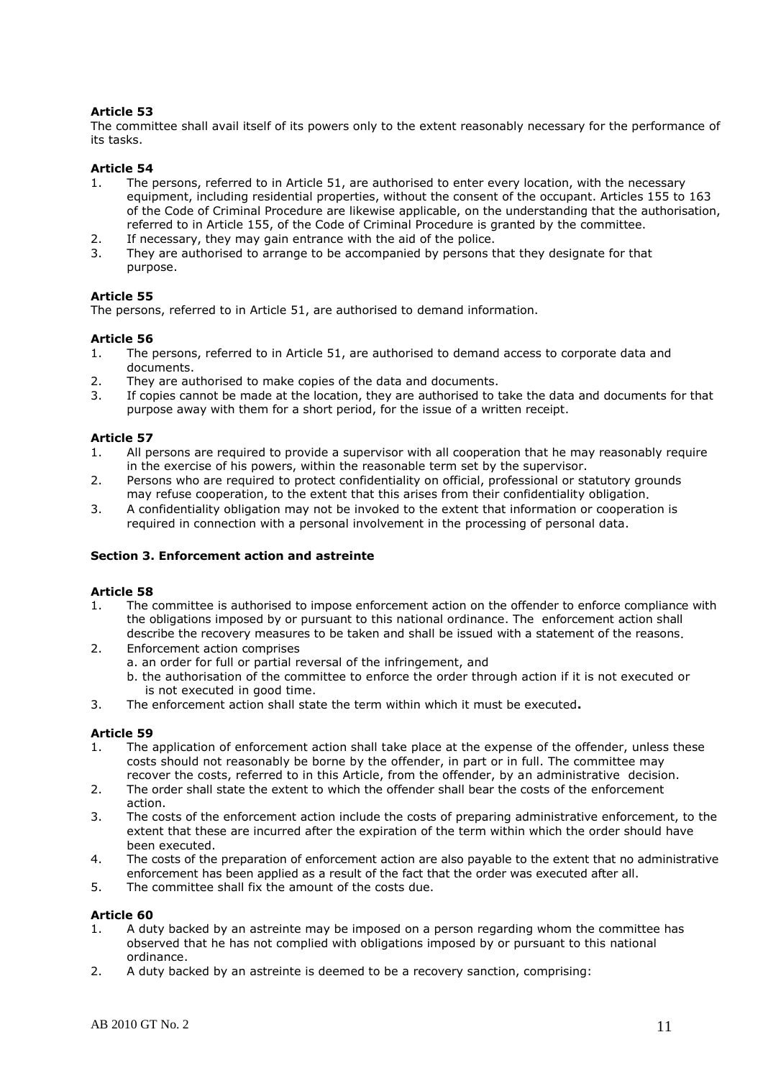The committee shall avail itself of its powers only to the extent reasonably necessary for the performance of its tasks.

## **Article 54**

- 1. The persons, referred to in Article 51, are authorised to enter every location, with the necessary equipment, including residential properties, without the consent of the occupant. Articles 155 to 163 of the Code of Criminal Procedure are likewise applicable, on the understanding that the authorisation, referred to in Article 155, of the Code of Criminal Procedure is granted by the committee.
- 2. If necessary, they may gain entrance with the aid of the police.
- 3. They are authorised to arrange to be accompanied by persons that they designate for that purpose.

### **Article 55**

The persons, referred to in Article 51, are authorised to demand information.

### **Article 56**

- 1. The persons, referred to in Article 51, are authorised to demand access to corporate data and documents.
- 2. They are authorised to make copies of the data and documents.
- 3. If copies cannot be made at the location, they are authorised to take the data and documents for that purpose away with them for a short period, for the issue of a written receipt.

## **Article 57**

- 1. All persons are required to provide a supervisor with all cooperation that he may reasonably require in the exercise of his powers, within the reasonable term set by the supervisor.
- 2. Persons who are required to protect confidentiality on official, professional or statutory grounds may refuse cooperation, to the extent that this arises from their confidentiality obligation.
- 3. A confidentiality obligation may not be invoked to the extent that information or cooperation is required in connection with a personal involvement in the processing of personal data.

### **Section 3. Enforcement action and astreinte**

### **Article 58**

- 1. The committee is authorised to impose enforcement action on the offender to enforce compliance with the obligations imposed by or pursuant to this national ordinance. The enforcement action shall describe the recovery measures to be taken and shall be issued with a statement of the reasons.
- 2. Enforcement action comprises
	- a. an order for full or partial reversal of the infringement, and
		- b. the authorisation of the committee to enforce the order through action if it is not executed or is not executed in good time.
- 3. The enforcement action shall state the term within which it must be executed**.**

### **Article 59**

- 1. The application of enforcement action shall take place at the expense of the offender, unless these costs should not reasonably be borne by the offender, in part or in full. The committee may recover the costs, referred to in this Article, from the offender, by an administrative decision.
- 2. The order shall state the extent to which the offender shall bear the costs of the enforcement action.
- 3. The costs of the enforcement action include the costs of preparing administrative enforcement, to the extent that these are incurred after the expiration of the term within which the order should have been executed.
- 4. The costs of the preparation of enforcement action are also payable to the extent that no administrative enforcement has been applied as a result of the fact that the order was executed after all.
- 5. The committee shall fix the amount of the costs due.

- 1. A duty backed by an astreinte may be imposed on a person regarding whom the committee has observed that he has not complied with obligations imposed by or pursuant to this national ordinance.
- 2. A duty backed by an astreinte is deemed to be a recovery sanction, comprising: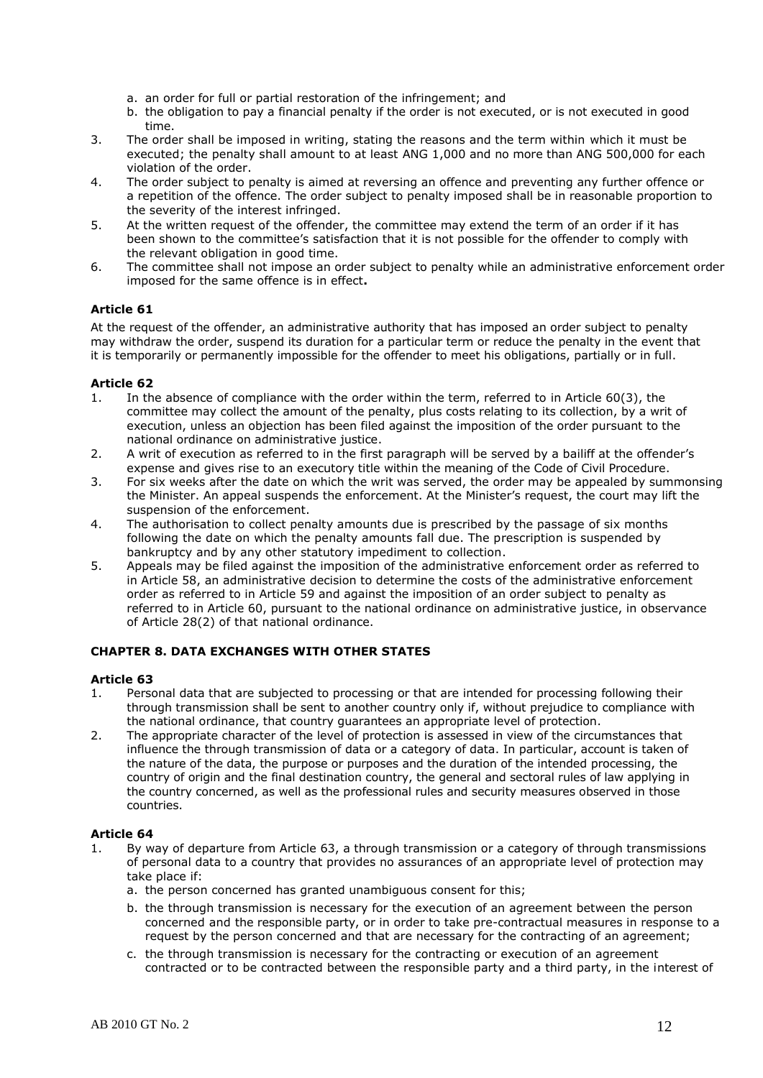- a. an order for full or partial restoration of the infringement; and
- b. the obligation to pay a financial penalty if the order is not executed, or is not executed in good time.
- 3. The order shall be imposed in writing, stating the reasons and the term within which it must be executed; the penalty shall amount to at least ANG 1,000 and no more than ANG 500,000 for each violation of the order.
- 4. The order subject to penalty is aimed at reversing an offence and preventing any further offence or a repetition of the offence. The order subject to penalty imposed shall be in reasonable proportion to the severity of the interest infringed.
- 5. At the written request of the offender, the committee may extend the term of an order if it has been shown to the committee's satisfaction that it is not possible for the offender to comply with the relevant obligation in good time.
- 6. The committee shall not impose an order subject to penalty while an administrative enforcement order imposed for the same offence is in effect**.**

At the request of the offender, an administrative authority that has imposed an order subject to penalty may withdraw the order, suspend its duration for a particular term or reduce the penalty in the event that it is temporarily or permanently impossible for the offender to meet his obligations, partially or in full.

### **Article 62**

- 1. In the absence of compliance with the order within the term, referred to in Article 60(3), the committee may collect the amount of the penalty, plus costs relating to its collection, by a writ of execution, unless an objection has been filed against the imposition of the order pursuant to the national ordinance on administrative justice.
- 2. A writ of execution as referred to in the first paragraph will be served by a bailiff at the offender's expense and gives rise to an executory title within the meaning of the Code of Civil Procedure.
- 3. For six weeks after the date on which the writ was served, the order may be appealed by summonsing the Minister. An appeal suspends the enforcement. At the Minister's request, the court may lift the suspension of the enforcement.
- 4. The authorisation to collect penalty amounts due is prescribed by the passage of six months following the date on which the penalty amounts fall due. The prescription is suspended by bankruptcy and by any other statutory impediment to collection.
- 5. Appeals may be filed against the imposition of the administrative enforcement order as referred to in Article 58, an administrative decision to determine the costs of the administrative enforcement order as referred to in Article 59 and against the imposition of an order subject to penalty as referred to in Article 60, pursuant to the national ordinance on administrative justice, in observance of Article 28(2) of that national ordinance.

### **CHAPTER 8. DATA EXCHANGES WITH OTHER STATES**

### **Article 63**

- 1. Personal data that are subjected to processing or that are intended for processing following their through transmission shall be sent to another country only if, without prejudice to compliance with the national ordinance, that country guarantees an appropriate level of protection.
- 2. The appropriate character of the level of protection is assessed in view of the circumstances that influence the through transmission of data or a category of data. In particular, account is taken of the nature of the data, the purpose or purposes and the duration of the intended processing, the country of origin and the final destination country, the general and sectoral rules of law applying in the country concerned, as well as the professional rules and security measures observed in those countries.

- 1. By way of departure from Article 63, a through transmission or a category of through transmissions of personal data to a country that provides no assurances of an appropriate level of protection may take place if:
	- a. the person concerned has granted unambiguous consent for this;
	- b. the through transmission is necessary for the execution of an agreement between the person concerned and the responsible party, or in order to take pre-contractual measures in response to a request by the person concerned and that are necessary for the contracting of an agreement;
	- c. the through transmission is necessary for the contracting or execution of an agreement contracted or to be contracted between the responsible party and a third party, in the interest of